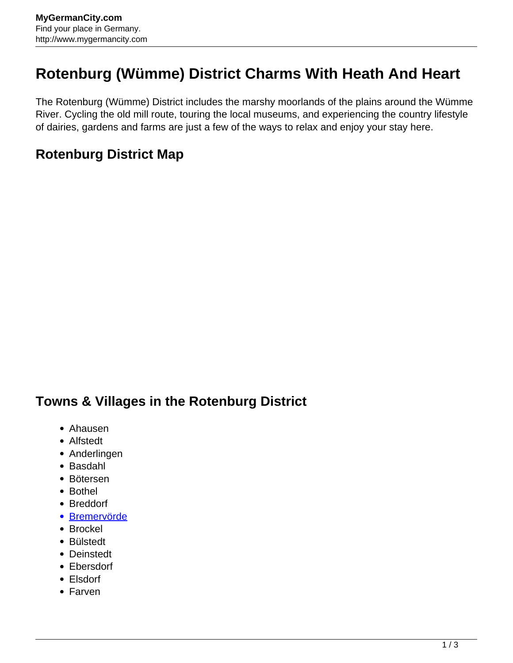## **Rotenburg (Wümme) District Charms With Heath And Heart**

The Rotenburg (Wümme) District includes the marshy moorlands of the plains around the Wümme River. Cycling the old mill route, touring the local museums, and experiencing the country lifestyle of dairies, gardens and farms are just a few of the ways to relax and enjoy your stay here.

## **Rotenburg District Map**

## **Towns & Villages in the Rotenburg District**

- Ahausen
- Alfstedt
- Anderlingen
- Basdahl
- Bötersen
- Bothel
- Breddorf
- [Bremervörde](http://www.mygermancity.com/bremervoerde)
- Brockel
- Bülstedt
- Deinstedt
- Ebersdorf
- Elsdorf
- Farven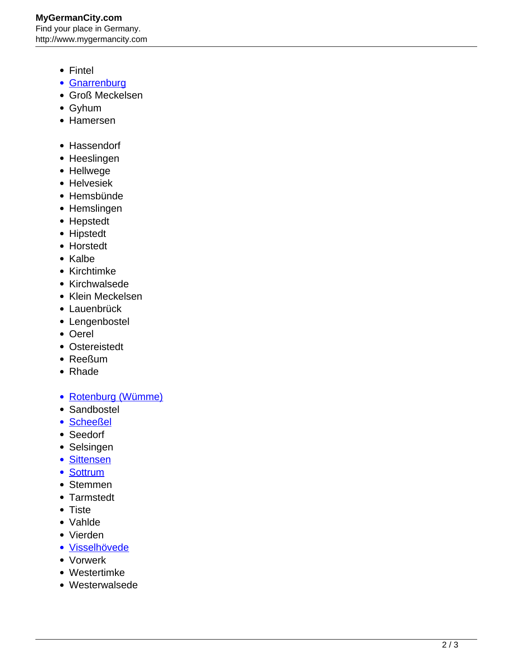- Fintel
- [Gnarrenburg](http://www.mygermancity.com/gnarrenburg)
- Groß Meckelsen
- Gyhum
- Hamersen
- Hassendorf
- Heeslingen
- Hellwege
- Helvesiek
- Hemsbünde
- Hemslingen
- Hepstedt
- Hipstedt
- Horstedt
- Kalbe
- Kirchtimke
- Kirchwalsede
- Klein Meckelsen
- Lauenbrück
- Lengenbostel
- Oerel
- Ostereistedt
- Reeßum
- Rhade
- [Rotenburg \(Wümme\)](http://www.mygermancity.com/rotenburg-wuemme)
- Sandbostel
- [Scheeßel](http://www.mygermancity.com/scheessel)
- Seedorf
- Selsingen
- [Sittensen](http://www.mygermancity.com/sittensen)
- [Sottrum](http://www.mygermancity.com/sottrum)
- Stemmen
- Tarmstedt
- Tiste
- Vahlde
- Vierden
- [Visselhövede](http://www.mygermancity.com/visselhoevede)
- Vorwerk
- Westertimke
- Westerwalsede